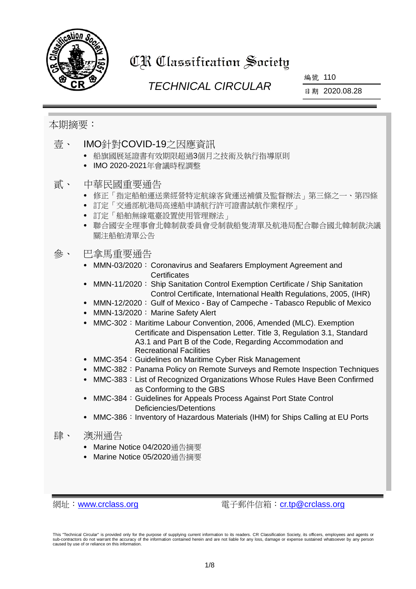

# CR Classification Society

# *TECHNICAL CIRCULAR*

編號 110

日期 2020.08.28

## 本期摘要:

- 壹、 IMO針對COVID-19之因應資訊
	- 船旗國展延證書有效期限超過3個月之技術及執行指導原則
	- IMO 2020-2021年會議時程調整

#### 貳、 中華民國重要通告

- 修正「指定船舶運送業經營特定航線客貨運送補償及監督辦法」第三條之一、第四條
- 訂定「交通部航港局高速船申請航行許可證書試航作業程序」
- 訂定「船舶無線電臺設置使用管理辦法」
- 聯合國安全理事會北韓制裁委員會受制裁船隻清單及航港局配合聯合國北韓制裁決議 關注船舶清單公告

## 參、 巴拿馬重要通告

- MMN-03/2020: Coronavirus and Seafarers Employment Agreement and **Certificates**
- MMN-11/2020: Ship Sanitation Control Exemption Certificate / Ship Sanitation Control Certificate, International Health Regulations, 2005, (IHR)
- MMN-12/2020: Gulf of Mexico Bay of Campeche Tabasco Republic of Mexico
- MMN-13/2020: Marine Safety Alert
- MMC-302: Maritime Labour Convention, 2006, Amended (MLC). Exemption Certificate and Dispensation Letter. Title 3, Regulation 3.1, Standard A3.1 and Part B of the Code, Regarding Accommodation and Recreational Facilities
- MMC-354: Guidelines on Maritime Cyber Risk Management
- MMC-382: Panama Policy on Remote Surveys and Remote Inspection Techniques
- MMC-383: List of Recognized Organizations Whose Rules Have Been Confirmed as Conforming to the GBS
- MMC-384: Guidelines for Appeals Process Against Port State Control Deficiencies/Detentions
- MMC-386: Inventory of Hazardous Materials (IHM) for Ships Calling at EU Ports
- 肆、 澳洲通告
	- Marine Notice 04/2020通告摘要
	- Marine Notice 05/2020涌告摘要

網址:[www.crclass.org](http://www.crclass.org/) 電子郵件信箱:[cr.tp@crclass.org](mailto:cr.tp@crclass.org)

This "Technical Circular" is provided only for the purpose of supplying current information to its readers. CR Classification Society, its officers, employees and agents or sub-contractors do not warrant the accuracy of the information contained herein and are not liable for any loss, damage or expense sustained whatsoever by any person caused by use of or reliance on this information.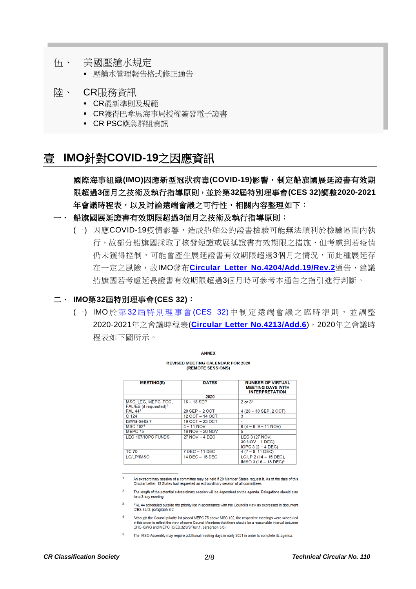- 伍、 美國壓艙水規定
	- 壓艙水管理報告格式修正通告
- 陸、 CR服務資訊
	- CR最新準則及規範
	- CR獲得巴拿馬海事局授權簽發電子證書
	- CR PSC應急群組資訊

# 壹 **IMO**針對**COVID-19**之因應資訊

國際海事組織**(IMO)**因應新型冠狀病毒**(COVID-19)**影響,制定船旗國展延證書有效期 限超過**3**個月之技術及執行指導原則,並於第**32**屆特別理事會**(CES 32)**調整**2020-2021** 年會議時程表,以及討論遠端會議之可行性,相關內容整理如下:

- 一、 船旗國展延證書有效期限超過**3**個月之技術及執行指導原則:
	- (一) 因應COVID-19疫情影響,造成船舶公約證書檢驗可能無法順利於檢驗區間內執 行,故部分船旗國採取了核發短證或展延證書有效期限之措施,但考慮到若疫情 仍未獲得控制,可能會產生展延證書有效期限超過3個月之情況,而此種展延存 在一定之風險,故IMO發布[Circular Letter No.4204/Add.19/Rev.2](https://www.crclass.org/chinese/download/ti-tc/110/1-1%20Circular%20Letter%20No.4204-Add.19-Rev.2.pdf)通告,建議 船旗國若考慮延長證書有效期限超過3個月時可參考本通告之指引進行判斷。

#### 二、 **IMO**第**32**屆特別理事會**(CES 32)**:

(一) IMO於第32屆特別理事會[\(CES 32\)](http://www.imo.org/en/MediaCentre/MeetingSummaries/Council/Pages/C-ES-32.aspx)中制定遠端會議之臨時準則,並調整 2020-2021年之會議時程表(**[Circular Letter No.4213/Add.6](https://www.crclass.org/chinese/download/ti-tc/110/1-2%20Circular%20Letter%20No.4213-Add.6%20-%20Reconstruction%20Of%20IMO%202020%20And%202021%20Meeting%20Schedules.pdf)**),2020年之會議時 程表如下圖所示。

| <b>MEETING(S)</b>                                          | <b>DATES</b>     | <b>NUMBER OF VIRTUAL</b><br><b>MEETING DAYS WITH</b><br><b>INTERPRETATION</b> |
|------------------------------------------------------------|------------------|-------------------------------------------------------------------------------|
|                                                            | 2020             |                                                                               |
| MSC, LEG, MEPC, TCC,<br>FAL/ES (if requested) <sup>1</sup> | $16 - 18$ SEP    | $2$ or $32$                                                                   |
| <b>FAL 443</b>                                             | 28 SEP - 2 OCT   | 4 (28 - 30 SEP, 2 OCT)                                                        |
| C 124                                                      | 12 OCT - 14 OCT  | 3                                                                             |
| <b>ISWG-GHG7</b>                                           | 19 OCT - 23 OCT  | ٠                                                                             |
| <b>MSC 1024</b>                                            | $4 - 11 NOV$     | $6(4 - 6, 9 - 11 NOV)$                                                        |
| MEPC 75                                                    | 16 NOV - 20 NOV  | 5                                                                             |
| LEG 107/IOPC FUNDS                                         | $27 NOV - 4 DEC$ | LEG 3 (27 NOV,<br>30 NOV - 1 DEC).<br>$IOPC 3 (2 - 4 DEC)$                    |
| <b>TC 70</b>                                               | 7 DEC - 11 DEC   | $4(7 - 9, 11$ DEC)                                                            |
| <b>LC/LP/IMSO</b>                                          | 14 DEC - 18 DEC  | $LC/LP$ 2 (14 - 15 DEC).<br>IMSO 3 (16 - 18 DEC) <sup>5</sup>                 |

**ANNEY** 

**REVISED MEETING CALENDAR FOR 2020**<br>(REMOTE SESSIONS)

An extraordinary session of a committee may be held if 20 Member States request it. As of the date of this<br>Circular Letter, 13 States had requested an extraordinary session of all committees.

The length of the potential extraordinary session will be dependent on the agenda. Delegations should plan for a 3-day meeting.

FAL 44 scheduled outside the priority list in accordance with the Council's view as expressed in document C/ES.32/D, paragraph 3.2.

Although the Council priority list placed MEPC 75 above MSC 102, the respective meetings were scheduled in this order to reflect the view of some Council Members that there should be a reasonable interval between GHG-ISWG and MEPC (C/ES.32/9/9/Rev.1, paragraph 3.6).

The IMSO Assembly may require additional meeting days in early 2021 in order to complete its agenda.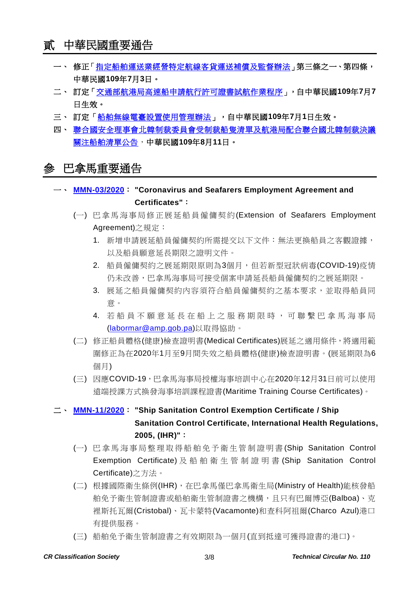- 一、 修正[「指定船舶運送業經營特定航線客貨運送補償及監督辦法」](https://gazette.nat.gov.tw/egFront/detail.do?metaid=116762&log=detailLog)第三條之一、第四條, 中華民國**109**年**7**月**3**日。
- 二、 訂定[「交通部航港局高速船申請航行許可證書試航作業程序」](https://gazette.nat.gov.tw/egFront/detail.do?metaid=116842&log=detailLog),自中華民國**109**年**7**月**7** 日生效。
- 三、 訂定[「船舶無線電臺設置使用管理辦法」](https://gazette.nat.gov.tw/egFront/detail.do?metaid=116879&log=detailLog),自中華民國**109**年**7**月**1**日生效。
- 四、 [聯合國安全理事會北韓制裁委員會受制裁船隻清單及航港局配合聯合國北韓制裁決議](https://www.motcmpb.gov.tw/Information/Detail/cfc09406-61f5-4462-a7ee-4bb3de2fdab0?SiteId=1&NodeId=103) [關注船舶清單公告,](https://www.motcmpb.gov.tw/Information/Detail/cfc09406-61f5-4462-a7ee-4bb3de2fdab0?SiteId=1&NodeId=103)中華民國**109**年**8**月**11**日。

# 參 巴拿馬重要通告

- 一、 **[MMN-03/2020](https://www.crclass.org/chinese/download/ti-tc/110/3-1%20MMN-03-2020-COVID-19-Revisado-DGGM-22-6-2020-008-en-nuevo-formato-24-jun-2020.pdf)**: **"Coronavirus and Seafarers Employment Agreement and Certificates"**:
	- (一) 巴拿馬海事局修正展延船員僱傭契約(Extension of Seafarers Employment Agreement)之規定:
		- 1. 新增申請展延船員僱傭契約所需提交以下文件:無法更換船員之客觀證據, 以及船員願意延長期限之證明文件。
		- 2. 船員僱傭契約之展延期限原則為3個月,但若新型冠狀病毒(COVID-19)疫情 仍未改善,巴拿馬海事局可接受個案申請延長船員僱傭契約之展延期限。
		- 3. 展延之船員僱傭契約內容須符合船員僱傭契約之基本要求,並取得船員同 意。
		- 4. 若船員不願意延長在船上之服務期限時,可聯繫巴拿馬海事局 [\(labormar@amp.gob.pa\)](mailto:labormar@amp.gob.pa)以取得協助。
	- (二) 修正船員體格(健康)檢查證明書(Medical Certificates)展延之適用條件,將適用範 圍修正為在2020年1月至9月間失效之船員體格(健康)檢查證明書。(展延期限為6 個月)
	- (三) 因應COVID-19,巴拿馬海事局授權海事培訓中心在2020年12月31日前可以使用 遠端授課方式換發海事培訓課程證書(Maritime Training Course Certificates)。

## 二、 **[MMN-11/2020](https://www.crclass.org/chinese/download/ti-tc/110/3-2%20MMN11-2020-NEW-Ship-Sanitation-Control-Exemption-Certificate-FINAL.pdf)**: **"Ship Sanitation Control Exemption Certificate / Ship Sanitation Control Certificate, International Health Regulations, 2005, (IHR)"**:

- (一) 巴拿馬海事局整理 取 得 船 舶 免 予 衛 生 管 制 證 明 書 (Ship Sanitation Control Exemption Certificate) 及船舶衛生管制證 明 書 (Ship Sanitation Control Certificate)之方法。
- (二) 根據國際衛生條例(IHR),在巴拿馬僅巴拿馬衛生局(Ministry of Health)能核發船 舶免予衛生管制證書或船舶衛生管制證書之機構,且只有巴爾博亞(Balboa)、克 裡斯托瓦爾(Cristobal)、瓦卡蒙特(Vacamonte)和查科阿祖爾(Charco Azul)港口 有提供服務。
- (三) 船舶免予衛生管制證書之有效期限為一個月(直到抵達可獲得證書的港口)。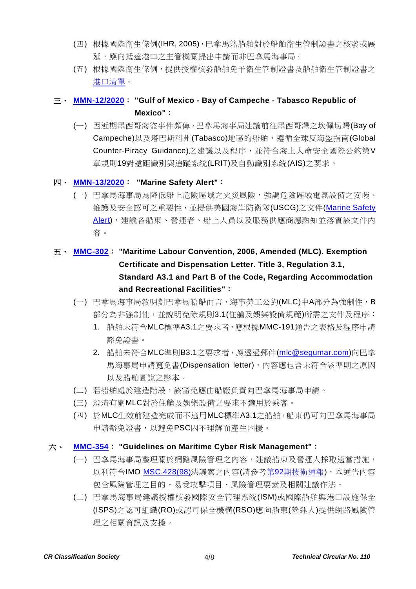- (四) 根據國際衛生條例(IHR, 2005),巴拿馬籍船舶對於船舶衛生管制證書之核發或展 延,應向抵達港口之主管機關提出申請而非巴拿馬海事局。
- (五) 根據國際衛生條例,提供授權核發船舶免予衛生管制證書及船舶衛生管制證書之 [港口清單。](https://extranet.who.int/ihr/poedata/data_entry/ctrl/portListPDFCtrl.php)

## 三、 **[MMN-12/2020](https://www.crclass.org/chinese/download/ti-tc/110/3-3%20MMN-12-JULY-2020-.pdf)**: **"Gulf of Mexico - Bay of Campeche - Tabasco Republic of Mexico"**:

(一) 因近期墨西哥海盜事件頻傳,巴拿馬海事局建議前往墨西哥灣之坎佩切灣(Bay of Campeche)以及塔巴斯科州(Tabasco)地區的船舶,遵循全球反海盜指南(Global Counter-Piracy Guidance)之建議以及程序,並符合海上人命安全國際公約第V 章規則19對遠距識別與追蹤系統(LRIT)及自動識別系統(AIS)之要求。

#### 四、 **[MMN-13/2020](https://www.crclass.org/chinese/download/ti-tc/110/3-4%20MMN-13-2020-NAVEGACION-16-07-2020-Marine-Safety-Alert.pdf)**: **"Marine Safety Alert"**:

- (一) 巴拿馬海事局為降低船上危險區域之火災風險,強調危險區域電氣設備之安裝、 維護及安全認可之重要性,並提供美國海岸防衛隊(USCG)之文件[\(Marine Safety](https://www.dco.uscg.mil/Portals/9/DCO%20Documents/5p/CG-5PC/INV/Alerts/USCGSA_0520.pdf?ver=2020-07-06-132441-980)  [Alert\)](https://www.dco.uscg.mil/Portals/9/DCO%20Documents/5p/CG-5PC/INV/Alerts/USCGSA_0520.pdf?ver=2020-07-06-132441-980),建議各船東、營運者、船上人員以及服務供應商應熟知並落實該文件內 容。
- 五、 **[MMC-302](https://www.crclass.org/chinese/download/ti-tc/110/3-5%20MMC-302-Rev-MR.pdf)**: **"Maritime Labour Convention, 2006, Amended (MLC). Exemption Certificate and Dispensation Letter. Title 3, Regulation 3.1, Standard A3.1 and Part B of the Code, Regarding Accommodation and Recreational Facilities"**:
	- (一) 巴拿馬海事局敘明對巴拿馬籍船而言,海事勞工公約(MLC)中A部分為強制性,B 部分為非強制性,並說明免除規則3.1(住艙及娛樂設備規範)所需之文件及程序:
		- 1. 船舶未符合MLC標準A3.1之要求者,應根據MMC-191通告之表格及程序申請 豁免證書。
		- 2. 船舶未符合MLC準則B3.1之要求者,應透過郵件[\(mlc@segumar.com\)](mailto:mlc@segumar.com)向巴拿 馬海事局申請寬免書(Dispensation letter), 內容應包含未符合該準則之原因 以及船舶圖說之影本。
	- (二) 若船舶處於建造階段,該豁免應由船廠負責向巴拿馬海事局申請。
	- (三) 澄清有關MLC對於住艙及娛樂設備之要求不適用於乘客。
	- (四) 於MLC生效前建造完成而不適用MLC標準A3.1之船舶,船東仍可向巴拿馬海事局 申請豁免證書,以避免PSC因不理解而產生困擾。

#### 六、 **[MMC-354](https://www.crclass.org/chinese/download/ti-tc/110/3-6%20MMC-354-.pdf)**: **"Guidelines on Maritime Cyber Risk Management"**:

- (一) 巴拿馬海事局整理關於網路風險管理之內容,建議船東及營運人採取適當措施, 以利符合IMO [MSC.428\(98\)](https://www.crclass.org/chinese/download/ti-tc/92/1-12%20MSC.428(98).pdf)決議案之內容(請參考第92[期技術通報](https://www.crclass.org/chinese/download/ti-tc/92/92.pdf)),本通告內容 包含風險管理之目的、易受攻擊項目、風險管理要素及相關建議作法。
- (二) 巴拿馬海事局建議授權核發國際安全管理系統(ISM)或國際船舶與港口設施保全 (ISPS)之認可組織(RO)或認可保全機構(RSO)應向船東(營運人)提供網路風險管 理之相關資訊及支援。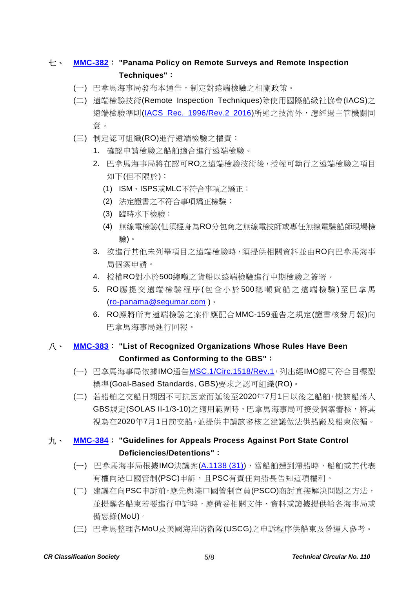## 七、 **[MMC-382](https://www.crclass.org/chinese/download/ti-tc/110/3-7%20MMC-382-PANAMA-POLICY-ON-REMOTE-SURVEYS-REMOTE-INSPECTION-TECHNIQES-Revisada-MR.pdf)**: **"Panama Policy on Remote Surveys and Remote Inspection Techniques"**:

- (一) 巴拿馬海事局發布本通告,制定對遠端檢驗之相關政策。
- (二) 遠端檢驗技術(Remote Inspection Techniques)除使用國際船級社協會(IACS)之 遠端檢驗準則[\(IACS Rec. 1996/Rev.2 2016\)](http://www.iacs.org.uk/download/1982)所述之技術外,應經過主管機關同 意。
- (三) 制定認可組織(RO)進行遠端檢驗之權責:
	- 1. 確認申請檢驗之船舶適合進行遠端檢驗。
	- 2. 巴拿馬海事局將在認可RO之遠端檢驗技術後,授權可執行之遠端檢驗之項目 如下(但不限於):
		- (1) ISM、ISPS或MLC不符合事項之矯正;
		- (2) 法定證書之不符合事項矯正檢驗;
		- (3) 臨時水下檢驗;
		- (4) 無線電檢驗(但須經身為RO分包商之無線電技師或專任無線電驗船師現場檢 驗)。
	- 3. 欲進行其他未列舉項目之遠端檢驗時,須提供相關資料並由RO向巴拿馬海事 局個案申請。
	- 4. 授權RO對小於500總噸之貨船以遠端檢驗進行中期檢驗之簽署。
	- 5. RO應提交遠端檢驗程序(包含小於500總噸貨船之遠端檢驗)至巴拿馬 (ro-panama@segumar.com )。
	- 6. RO應將所有遠端檢驗之案件應配合MMC-159通告之規定(證書核發月報)向 巴拿馬海事局進行回報。

## 八、 **[MMC-383](https://www.crclass.org/chinese/download/ti-tc/110/3-8%20MMC-383-NEW-25-06-2020-FINAL.pdf)**: **"List of Recognized Organizations Whose Rules Have Been Confirmed as Conforming to the GBS"**:

- (一) 巴拿馬海事局依據IMO通告[MSC.1/Circ.1518/Rev.1](http://shippingregs.org/Portals/2/SecuredDoc/Circulars/MSC.1-Circ.1518-Rev.1%20-%20Promulgation%20of%20rules%20for%20the%20design%20and%20construction%20of%20bulk%20carriers%20and%20oil%20tankers%20con...%20(Secretariat).pdf?ver=2019-03-07-122838-347),列出經IMO認可符合目標型 標準(Goal-Based Standards, GBS)要求之認可組織(RO)。
- (二) 若船舶之交船日期因不可抗因素而延後至2020年7月1日以後之船舶,使該船落入 GBS規定(SOLAS II-1/3-10)之適用範圍時,巴拿馬海事局可接受個案審核,將其 視為在2020年7月1日前交船,並提供申請該審核之建議做法供船廠及船東依循。

### 九、 **[MMC-384](https://www.crclass.org/chinese/download/ti-tc/110/3-9%20MMC-384-NEW-Guidelines-process-PSC-deficiencies-detentions-01-07-2020.pdf)**: **"Guidelines for Appeals Process Against Port State Control Deficiencies/Detentions"**:

- (一) 巴拿馬海事局根據IMO決議案[\(A.1138 \(31\)\)](https://www.register-iri.com/wp-content/uploads/A.113831.pdf),當船舶遭到滯船時,船舶或其代表 有權向港口國管制(PSC)申訴, 且PSC有責任向船長告知這項權利。
- (二) 建議在向PSC申訴前,應先與港口國管制官員(PSCO)商討直接解決問題之方法, 並提醒各船東若要進行申訴時,應備妥相關文件、資料或證據提供給各海事局或 備忘錄(MoU)。
- (三) 巴拿馬整理各MoU及美國海岸防衛隊(USCG)之申訴程序供船東及營運人參考。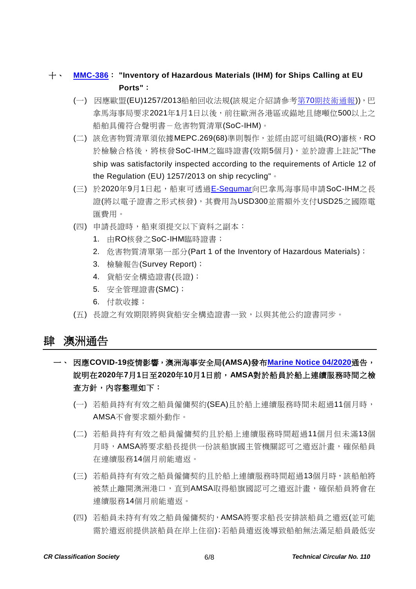### 十、 **[MMC-386](https://www.crclass.org/chinese/download/ti-tc/110/3-10%20MMC-386-Inventory-of-Hazardous-Materials-for-ships-calling-at-EU-ports..pdf)**: **"Inventory of Hazardous Materials (IHM) for Ships Calling at EU Ports"**:

- (一) 因應歐盟(EU)1257/2013船舶回收法規(該規定介紹請參考第70[期技術通報](https://www.crclass.org/chinese/download/ti-tc/70/70.pdf))),巴 拿馬海事局要求2021年1月1日以後,前往歐洲各港區或錨地且總噸位500以上之 船舶具備符合聲明書-危害物質清單(SoC-IHM)。
- (二) 該危害物質清單須依據MEPC.269(68)準則製作,並經由認可組織(RO)審核,RO 於檢驗合格後,將核發SoC-IHM之臨時證書(效期5個月),並於證書上註記"The ship was satisfactorily inspected according to the requirements of Article 12 of the Regulation (EU) 1257/2013 on ship recycling"。
- (三) 於2020年9月1日起,船東可透過[E-Segumar](https://certificates.amp.gob.pa/certificates/)向巴拿馬海事局申請SoC-IHM之長 證(將以電子證書之形式核發),其費用為USD300並需額外支付USD25之國際電 匯費用。
- (四) 申請長證時,船東須提交以下資料之副本:
	- 1. 由RO核發之SoC-IHM臨時證書;
	- 2. 危害物質清單第一部分(Part 1 of the Inventory of Hazardous Materials);
	- 3. 檢驗報告(Survey Report);
	- 4. 貨船安全構造證書(長證);
	- 5. 安全管理證書(SMC);
	- 6. 付款收據;
- (五) 長證之有效期限將與貨船安全構造證書一致,以與其他公約證書同步。

#### 肆 澳洲通告

- 一、 因應**COVID-19**疫情影響,澳洲海事安全局**(AMSA)**發布**[Marine Notice 04/2020](https://www.crclass.org/chinese/download/ti-tc/110/4-1%20marine-notice-202004.pdf)**通告, 說明在**2020**年**7**月**1**日至**2020**年**10**月**1**日前,**AMSA**對於船員於船上連續服務時間之檢 查方針,內容整理如下:
	- (一) 若船員持有有效之船員僱傭契約(SEA)且於船上連續服務時間未超過11個月時, AMSA不會要求額外動作。
	- (二) 若船員持有有效之船員僱傭契約且於船上連續服務時間超過11個月但未滿13個 月時, AMSA將要求船長提供一份該船旗國主管機關認可之遣返計畫, 確保船員 在連續服務14個月前能遣返。
	- (三) 若船員持有有效之船員僱傭契約且於船上連續服務時間超過13個月時,該船舶將 被禁止離開澳洲港口,直到AMSA取得船旗國認可之遣返計畫,確保船員將會在 連續服務14個月前能遣返。
	- (四) 若船員未持有有效之船員僱傭契約,AMSA將要求船長安排該船員之遣返(並可能 需於遣返前提供該船員在岸上住宿);若船員遣返後導致船舶無法滿足船員最低安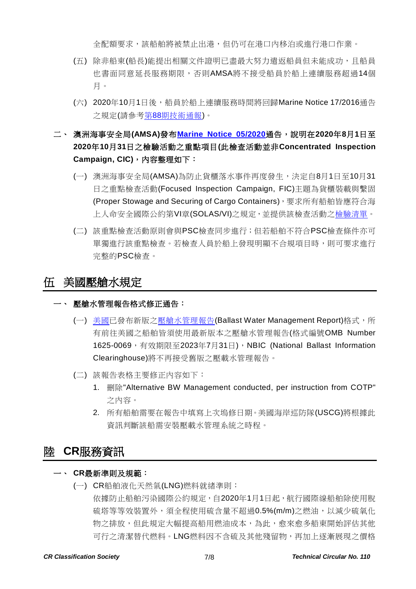全配額要求,該船舶將被禁止出港,但仍可在港口內移泊或進行港口作業。

- (五) 除非船東(船長)能提出相關文件證明已盡最大努力遣返船員但未能成功,且船員 也書面同意延長服務期限,否則AMSA將不接受船員於船上連續服務超過14個 月。
- (六) 2020年10月1日後,船員於船上連續服務時間將回歸Marine Notice 17/2016通告 之規定(請參考第88[期技術通報](https://www.crclass.org/chinese/download/ti-tc/88/88.pdf))。
- 二、 澳洲海事安全局**(AMSA)**發布**[Marine Notice 05/2020](https://www.crclass.org/chinese/download/ti-tc/110/4-2%20marine-notice-05-2020.pdf)**通告,說明在**2020**年**8**月**1**日至 **2020**年**10**月**31**日之檢驗活動之重點項目**(**此檢查活動並非**Concentrated Inspection Campaign, CIC)**,內容整理如下:
	- (一) 澳洲海事安全局(AMSA)為防止貨櫃落水事件再度發生,決定自8月1日至10月31 日之重點檢查活動(Focused Inspection Campaign, FIC)主題為貨櫃裝載與繫固 (Proper Stowage and Securing of Cargo Containers),要求所有船舶皆應符合海 上人命安全國際公約第VI章(SOLAS/VI)之規定,並提供該檢查活動[之檢驗清單。](https://www.amsa.gov.au/vessels-operators/port-state-control/checklist-cargo-securing-arrangements-focused-inspection)
	- (二) 該重點檢查活動原則會與PSC檢查同步進行;但若船舶不符合PSC檢查條件亦可 單獨進行該重點檢查。若檢查人員於船上發現明顯不合規項目時,則可要求進行 完整的PSC檢查。

## 伍 美國壓艙水規定

#### 一、 壓艙水管理報告格式修正通告:

- (一) [美國已](https://nbic.si.edu/new_nbic_ballast_water_management_reporting_form/)發布新版[之壓艙水管理報告](https://invasions.si.edu/nbic/forms/BallastWaterForm.pdf)(Ballast Water Management Report)格式,所 有前往美國之船舶皆須使用最新版本之壓艙水管理報告(格式編號OMB Number 1625-0069, 有效期限至2023年7月31日), NBIC (National Ballast Information Clearinghouse)將不再接受舊版之壓載水管理報告。
- (二) 該報告表格主要修正內容如下:
	- 1. 刪除"Alternative BW Management conducted, per instruction from COTP" 之內容。
	- 2. 所有船舶需要在報告中填寫上次塢修日期。美國海岸巡防隊(USCG)將根據此 資訊判斷該船需安裝壓載水管理系統之時程。

# 陸 **CR**服務資訊

#### 一、 **CR**最新準則及規範:

(一) CR船舶液化天然氣(LNG)燃料就緒準則: 依據防止船舶污染國際公約規定,自2020年1月1日起,航行國際線船舶除使用脫 硫塔等等效裝置外,須全程使用硫含量不超過0.5%(m/m)之燃油,以減少硫氧化 物之排放,但此規定大幅提高船用燃油成本,為此,愈來愈多船東開始評估其他 可行之清潔替代燃料。LNG燃料因不含硫及其他殘留物,再加上逐漸展現之價格